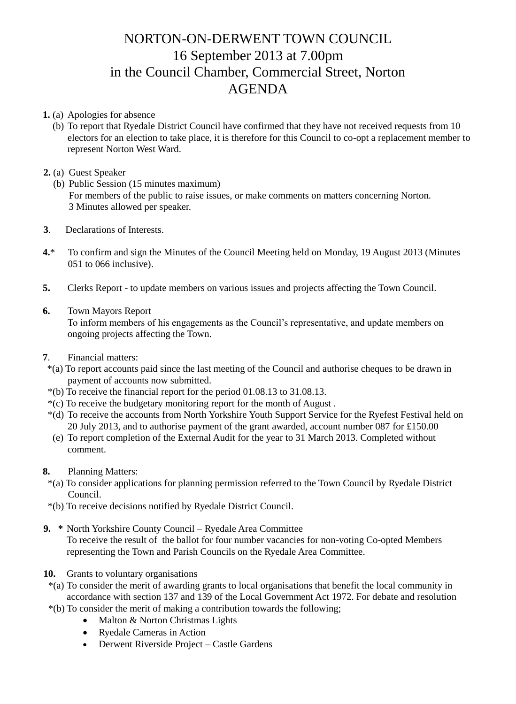## NORTON-ON-DERWENT TOWN COUNCIL 16 September 2013 at 7.00pm in the Council Chamber, Commercial Street, Norton AGENDA

**1.** (a) Apologies for absence

 (b) To report that Ryedale District Council have confirmed that they have not received requests from 10 electors for an election to take place, it is therefore for this Council to co-opt a replacement member to represent Norton West Ward.

## **2.** (a) Guest Speaker

- (b) Public Session (15 minutes maximum) For members of the public to raise issues, or make comments on matters concerning Norton. 3 Minutes allowed per speaker.
- **3**. Declarations of Interests.
- **4.**\* To confirm and sign the Minutes of the Council Meeting held on Monday, 19 August 2013 (Minutes 051 to 066 inclusive).
- **5.** Clerks Report to update members on various issues and projects affecting the Town Council.

## **6.** Town Mayors Report

 To inform members of his engagements as the Council's representative, and update members on ongoing projects affecting the Town.

- **7**. Financial matters:
- \*(a) To report accounts paid since the last meeting of the Council and authorise cheques to be drawn in payment of accounts now submitted.
- \*(b) To receive the financial report for the period 01.08.13 to 31.08.13.
- \*(c) To receive the budgetary monitoring report for the month of August .
- \*(d) To receive the accounts from North Yorkshire Youth Support Service for the Ryefest Festival held on 20 July 2013, and to authorise payment of the grant awarded, account number 087 for £150.00
- (e) To report completion of the External Audit for the year to 31 March 2013. Completed without comment.
- **8.** Planning Matters:
	- \*(a) To consider applications for planning permission referred to the Town Council by Ryedale District Council.
	- \*(b) To receive decisions notified by Ryedale District Council.
- **9. \*** North Yorkshire County Council Ryedale Area Committee To receive the result of the ballot for four number vacancies for non-voting Co-opted Members representing the Town and Parish Councils on the Ryedale Area Committee.
- **10.** Grants to voluntary organisations
	- \*(a) To consider the merit of awarding grants to local organisations that benefit the local community in accordance with section 137 and 139 of the Local Government Act 1972. For debate and resolution
- \*(b) To consider the merit of making a contribution towards the following;
	- Malton & Norton Christmas Lights
	- Ryedale Cameras in Action
	- Derwent Riverside Project Castle Gardens